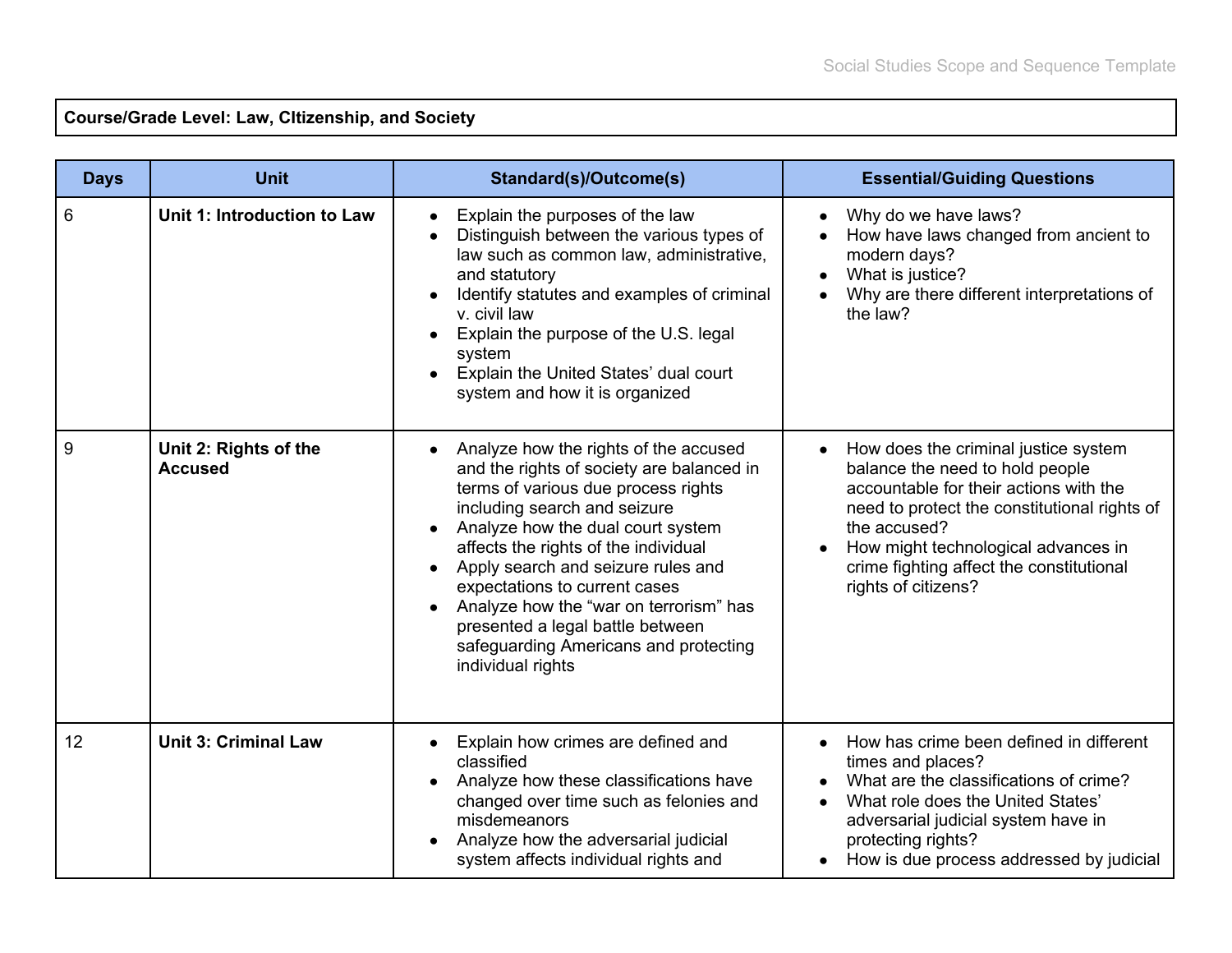**Course/Grade Level: Law, CItizenship, and Society**

| <b>Days</b> | <b>Unit</b>                             | Standard(s)/Outcome(s)                                                                                                                                                                                                                                                                                                                                                                                                                                    | <b>Essential/Guiding Questions</b>                                                                                                                                                                                                                                                          |
|-------------|-----------------------------------------|-----------------------------------------------------------------------------------------------------------------------------------------------------------------------------------------------------------------------------------------------------------------------------------------------------------------------------------------------------------------------------------------------------------------------------------------------------------|---------------------------------------------------------------------------------------------------------------------------------------------------------------------------------------------------------------------------------------------------------------------------------------------|
| 6           | Unit 1: Introduction to Law             | Explain the purposes of the law<br>Distinguish between the various types of<br>law such as common law, administrative,<br>and statutory<br>Identify statutes and examples of criminal<br>v. civil law<br>Explain the purpose of the U.S. legal<br>system<br>Explain the United States' dual court<br>system and how it is organized                                                                                                                       | Why do we have laws?<br>How have laws changed from ancient to<br>modern days?<br>What is justice?<br>Why are there different interpretations of<br>the law?                                                                                                                                 |
| 9           | Unit 2: Rights of the<br><b>Accused</b> | Analyze how the rights of the accused<br>and the rights of society are balanced in<br>terms of various due process rights<br>including search and seizure<br>Analyze how the dual court system<br>affects the rights of the individual<br>Apply search and seizure rules and<br>expectations to current cases<br>Analyze how the "war on terrorism" has<br>presented a legal battle between<br>safeguarding Americans and protecting<br>individual rights | How does the criminal justice system<br>balance the need to hold people<br>accountable for their actions with the<br>need to protect the constitutional rights of<br>the accused?<br>How might technological advances in<br>crime fighting affect the constitutional<br>rights of citizens? |
| 12          | <b>Unit 3: Criminal Law</b>             | Explain how crimes are defined and<br>classified<br>Analyze how these classifications have<br>changed over time such as felonies and<br>misdemeanors<br>Analyze how the adversarial judicial<br>system affects individual rights and                                                                                                                                                                                                                      | How has crime been defined in different<br>times and places?<br>What are the classifications of crime?<br>What role does the United States'<br>adversarial judicial system have in<br>protecting rights?<br>How is due process addressed by judicial                                        |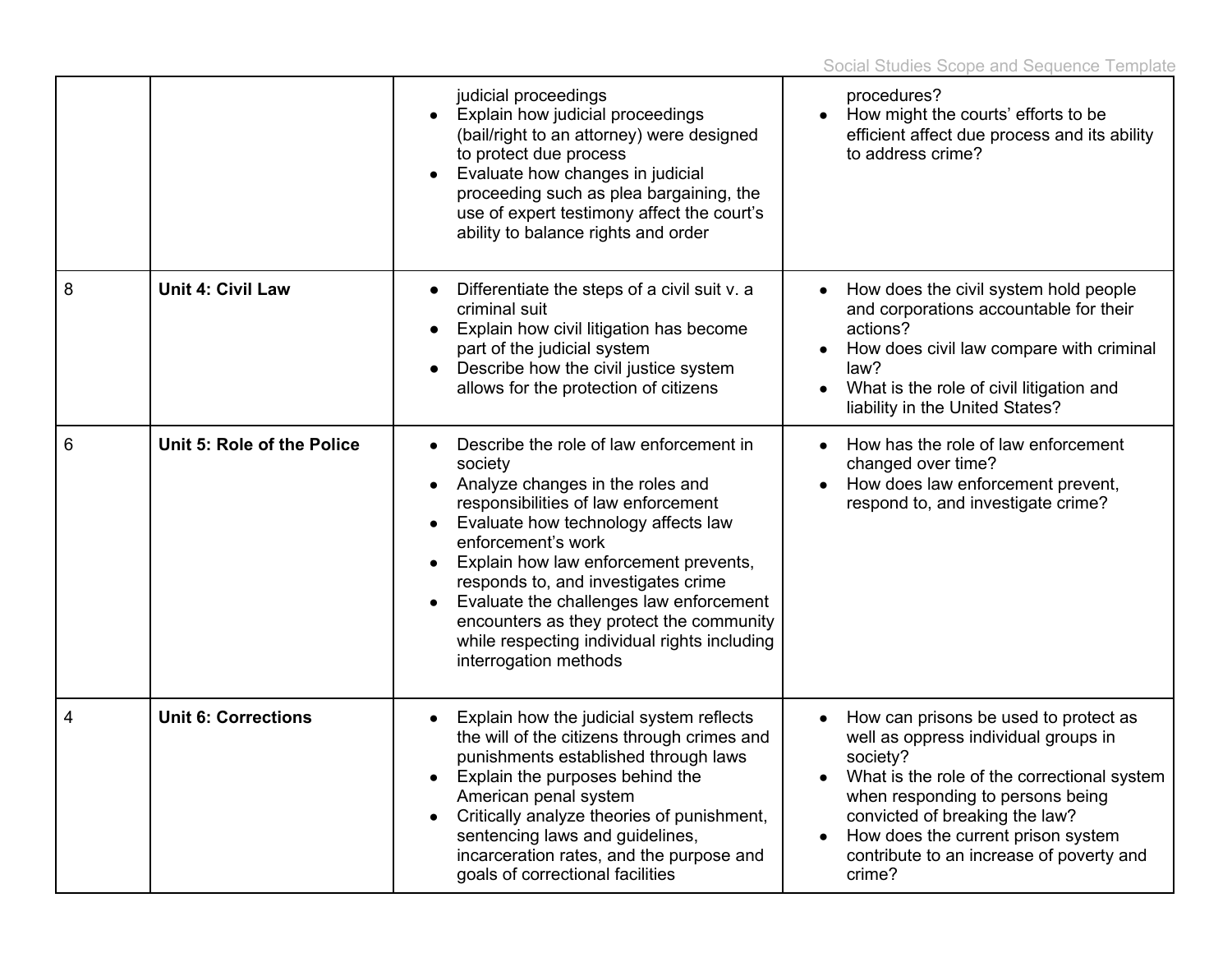|   |                            | judicial proceedings<br>Explain how judicial proceedings<br>(bail/right to an attorney) were designed<br>to protect due process<br>Evaluate how changes in judicial<br>proceeding such as plea bargaining, the<br>use of expert testimony affect the court's<br>ability to balance rights and order                                                                                                                                                     | procedures?<br>How might the courts' efforts to be<br>efficient affect due process and its ability<br>to address crime?                                                                                                                                                                                    |
|---|----------------------------|---------------------------------------------------------------------------------------------------------------------------------------------------------------------------------------------------------------------------------------------------------------------------------------------------------------------------------------------------------------------------------------------------------------------------------------------------------|------------------------------------------------------------------------------------------------------------------------------------------------------------------------------------------------------------------------------------------------------------------------------------------------------------|
| 8 | <b>Unit 4: Civil Law</b>   | Differentiate the steps of a civil suit v. a<br>criminal suit<br>Explain how civil litigation has become<br>part of the judicial system<br>Describe how the civil justice system<br>$\bullet$<br>allows for the protection of citizens                                                                                                                                                                                                                  | How does the civil system hold people<br>and corporations accountable for their<br>actions?<br>How does civil law compare with criminal<br>law?<br>What is the role of civil litigation and<br>liability in the United States?                                                                             |
| 6 | Unit 5: Role of the Police | Describe the role of law enforcement in<br>society<br>Analyze changes in the roles and<br>$\bullet$<br>responsibilities of law enforcement<br>Evaluate how technology affects law<br>enforcement's work<br>Explain how law enforcement prevents,<br>responds to, and investigates crime<br>Evaluate the challenges law enforcement<br>encounters as they protect the community<br>while respecting individual rights including<br>interrogation methods | How has the role of law enforcement<br>changed over time?<br>How does law enforcement prevent,<br>respond to, and investigate crime?                                                                                                                                                                       |
| 4 | <b>Unit 6: Corrections</b> | Explain how the judicial system reflects<br>the will of the citizens through crimes and<br>punishments established through laws<br>Explain the purposes behind the<br>American penal system<br>Critically analyze theories of punishment,<br>sentencing laws and guidelines,<br>incarceration rates, and the purpose and<br>goals of correctional facilities                                                                                            | How can prisons be used to protect as<br>well as oppress individual groups in<br>society?<br>What is the role of the correctional system<br>when responding to persons being<br>convicted of breaking the law?<br>How does the current prison system<br>contribute to an increase of poverty and<br>crime? |